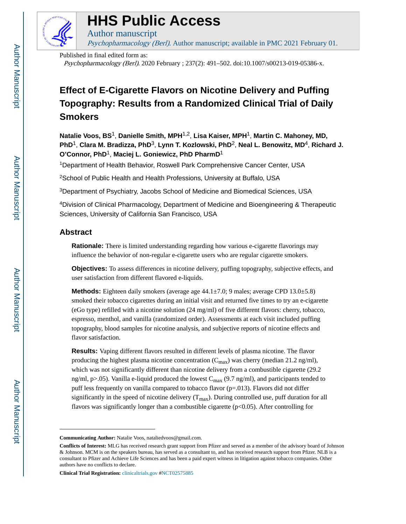

# **HHS Public Access**

Psychopharmacology (Berl). Author manuscript; available in PMC 2021 February 01.

Published in final edited form as:

Author manuscript

Psychopharmacology (Berl). 2020 February ; 237(2): 491–502. doi:10.1007/s00213-019-05386-x.

# **Effect of E-Cigarette Flavors on Nicotine Delivery and Puffing Topography: Results from a Randomized Clinical Trial of Daily Smokers**

**Natalie Voos, BS**1, **Danielle Smith, MPH**1,2, **Lisa Kaiser, MPH**1, **Martin C. Mahoney, MD, PhD**1, **Clara M. Bradizza, PhD**3, **Lynn T. Kozlowski, PhD**2, **Neal L. Benowitz, MD**4, **Richard J. O'Connor, PhD**1, **Maciej L. Goniewicz, PhD PharmD**<sup>1</sup>

<sup>1</sup>Department of Health Behavior, Roswell Park Comprehensive Cancer Center, USA

<sup>2</sup>School of Public Health and Health Professions, University at Buffalo, USA

<sup>3</sup>Department of Psychiatry, Jacobs School of Medicine and Biomedical Sciences, USA

<sup>4</sup>Division of Clinical Pharmacology, Department of Medicine and Bioengineering & Therapeutic Sciences, University of California San Francisco, USA

# **Abstract**

**Rationale:** There is limited understanding regarding how various e-cigarette flavorings may influence the behavior of non-regular e-cigarette users who are regular cigarette smokers.

**Objectives:** To assess differences in nicotine delivery, puffing topography, subjective effects, and user satisfaction from different flavored e-liquids.

**Methods:** Eighteen daily smokers (average age 44.1±7.0; 9 males; average CPD 13.0±5.8) smoked their tobacco cigarettes during an initial visit and returned five times to try an e-cigarette (eGo type) refilled with a nicotine solution (24 mg/ml) of five different flavors: cherry, tobacco, espresso, menthol, and vanilla (randomized order). Assessments at each visit included puffing topography, blood samples for nicotine analysis, and subjective reports of nicotine effects and flavor satisfaction.

**Results:** Vaping different flavors resulted in different levels of plasma nicotine. The flavor producing the highest plasma nicotine concentration  $(C_{\text{max}})$  was cherry (median 21.2 ng/ml), which was not significantly different than nicotine delivery from a combustible cigarette (29.2) ng/ml, p>.05). Vanilla e-liquid produced the lowest  $C_{\text{max}}$  (9.7 ng/ml), and participants tended to puff less frequently on vanilla compared to tobacco flavor (p=.013). Flavors did not differ significantly in the speed of nicotine delivery  $(T_{max})$ . During controlled use, puff duration for all flavors was significantly longer than a combustible cigarette (p<0.05). After controlling for

**Communicating Author:** Natalie Voos, nataliedvoos@gmail.com.

**Conflicts of Interest:** MLG has received research grant support from Pfizer and served as a member of the advisory board of Johnson & Johnson. MCM is on the speakers bureau, has served as a consultant to, and has received research support from Pfizer. NLB is a consultant to Pfizer and Achieve Life Sciences and has been a paid expert witness in litigation against tobacco companies. Other authors have no conflicts to declare.

**Clinical Trial Registration:** [clinicaltrials.gov](http://clinicaltrials.gov) #[NCT02575885](https://clinicaltrials.gov/ct2/show/NCT02575885)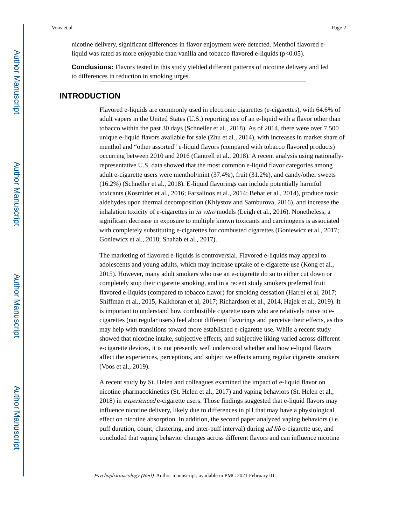nicotine delivery, significant differences in flavor enjoyment were detected. Menthol flavored eliquid was rated as more enjoyable than vanilla and tobacco flavored e-liquids  $(p<0.05)$ .

**Conclusions:** Flavors tested in this study yielded different patterns of nicotine delivery and led to differences in reduction in smoking urges.

# **INTRODUCTION**

Flavored e-liquids are commonly used in electronic cigarettes (e-cigarettes), with 64.6% of adult vapers in the United States (U.S.) reporting use of an e-liquid with a flavor other than tobacco within the past 30 days (Schneller et al., 2018). As of 2014, there were over 7,500 unique e-liquid flavors available for sale (Zhu et al., 2014), with increases in market share of menthol and "other assorted" e-liquid flavors (compared with tobacco flavored products) occurring between 2010 and 2016 (Cantrell et al., 2018). A recent analysis using nationallyrepresentative U.S. data showed that the most common e-liquid flavor categories among adult e-cigarette users were menthol/mint (37.4%), fruit (31.2%), and candy/other sweets (16.2%) (Schneller et al., 2018). E-liquid flavorings can include potentially harmful toxicants (Kosmider et al., 2016; Farsalinos et al., 2014; Behar et al., 2014), produce toxic aldehydes upon thermal decomposition (Khlystov and Samburova, 2016), and increase the inhalation toxicity of e-cigarettes in *in vitro* models (Leigh et al., 2016). Nonetheless, a significant decrease in exposure to multiple known toxicants and carcinogens is associated with completely substituting e-cigarettes for combusted cigarettes (Goniewicz et al., 2017; Goniewicz et al., 2018; Shahab et al., 2017).

The marketing of flavored e-liquids is controversial. Flavored e-liquids may appeal to adolescents and young adults, which may increase uptake of e-cigarette use (Kong et al., 2015). However, many adult smokers who use an e-cigarette do so to either cut down or completely stop their cigarette smoking, and in a recent study smokers preferred fruit flavored e-liquids (compared to tobacco flavor) for smoking cessation (Harrel et al, 2017; Shiffman et al., 2015, Kalkhoran et al, 2017; Richardson et al., 2014, Hajek et al., 2019). It is important to understand how combustible cigarette users who are relatively naïve to ecigarettes (not regular users) feel about different flavorings and perceive their effects, as this may help with transitions toward more established e-cigarette use. While a recent study showed that nicotine intake, subjective effects, and subjective liking varied across different e-cigarette devices, it is not presently well understood whether and how e-liquid flavors affect the experiences, perceptions, and subjective effects among regular cigarette smokers (Voos et al., 2019).

A recent study by St. Helen and colleagues examined the impact of e-liquid flavor on nicotine pharmacokinetics (St. Helen et al., 2017) and vaping behaviors (St. Helen et al., 2018) in experienced e-cigarette users. Those findings suggested that e-liquid flavors may influence nicotine delivery, likely due to differences in pH that may have a physiological effect on nicotine absorption. In addition, the second paper analyzed vaping behaviors (i.e. puff duration, count, clustering, and inter-puff interval) during *ad lib* e-cigarette use, and concluded that vaping behavior changes across different flavors and can influence nicotine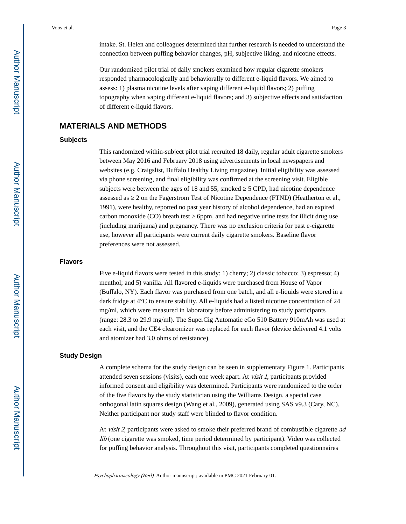Our randomized pilot trial of daily smokers examined how regular cigarette smokers responded pharmacologically and behaviorally to different e-liquid flavors. We aimed to assess: 1) plasma nicotine levels after vaping different e-liquid flavors; 2) puffing topography when vaping different e-liquid flavors; and 3) subjective effects and satisfaction of different e-liquid flavors.

# **MATERIALS AND METHODS**

#### **Subjects**

This randomized within-subject pilot trial recruited 18 daily, regular adult cigarette smokers between May 2016 and February 2018 using advertisements in local newspapers and websites (e.g. Craigslist, Buffalo Healthy Living magazine). Initial eligibility was assessed via phone screening, and final eligibility was confirmed at the screening visit. Eligible subjects were between the ages of 18 and 55, smoked  $\sim$  5 CPD, had nicotine dependence assessed as ≥ 2 on the Fagerstrom Test of Nicotine Dependence (FTND) (Heatherton et al., 1991), were healthy, reported no past year history of alcohol dependence, had an expired carbon monoxide (CO) breath test – 6ppm, and had negative urine tests for illicit drug use (including marijuana) and pregnancy. There was no exclusion criteria for past e-cigarette use, however all participants were current daily cigarette smokers. Baseline flavor preferences were not assessed.

#### **Flavors**

Five e-liquid flavors were tested in this study: 1) cherry; 2) classic tobacco; 3) espresso; 4) menthol; and 5) vanilla. All flavored e-liquids were purchased from House of Vapor (Buffalo, NY). Each flavor was purchased from one batch, and all e-liquids were stored in a dark fridge at 4°C to ensure stability. All e-liquids had a listed nicotine concentration of 24 mg/ml, which were measured in laboratory before administering to study participants (range: 28.3 to 29.9 mg/ml). The SuperCig Automatic eGo 510 Battery 910mAh was used at each visit, and the CE4 clearomizer was replaced for each flavor (device delivered 4.1 volts and atomizer had 3.0 ohms of resistance).

#### **Study Design**

A complete schema for the study design can be seen in supplementary Figure 1. Participants attended seven sessions (visits), each one week apart. At visit 1, participants provided informed consent and eligibility was determined. Participants were randomized to the order of the five flavors by the study statistician using the Williams Design, a special case orthogonal latin squares design (Wang et al., 2009), generated using SAS v9.3 (Cary, NC). Neither participant nor study staff were blinded to flavor condition.

At *visit 2*, participants were asked to smoke their preferred brand of combustible cigarette *ad* lib (one cigarette was smoked, time period determined by participant). Video was collected for puffing behavior analysis. Throughout this visit, participants completed questionnaires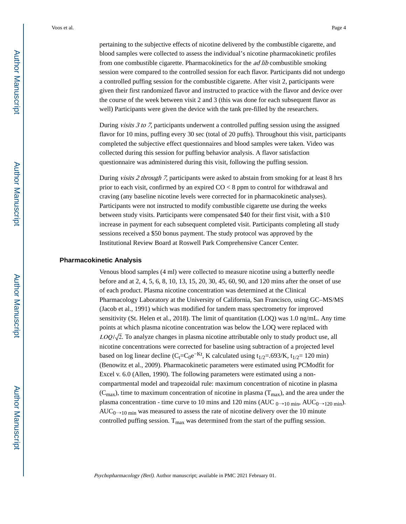pertaining to the subjective effects of nicotine delivered by the combustible cigarette, and blood samples were collected to assess the individual's nicotine pharmacokinetic profiles from one combustible cigarette. Pharmacokinetics for the ad lib combustible smoking session were compared to the controlled session for each flavor. Participants did not undergo a controlled puffing session for the combustible cigarette. After visit 2, participants were given their first randomized flavor and instructed to practice with the flavor and device over the course of the week between visit 2 and 3 (this was done for each subsequent flavor as well) Participants were given the device with the tank pre-filled by the researchers.

During visits 3 to 7, participants underwent a controlled puffing session using the assigned flavor for 10 mins, puffing every 30 sec (total of 20 puffs). Throughout this visit, participants completed the subjective effect questionnaires and blood samples were taken. Video was collected during this session for puffing behavior analysis. A flavor satisfaction questionnaire was administered during this visit, following the puffing session.

During visits 2 through 7, participants were asked to abstain from smoking for at least 8 hrs prior to each visit, confirmed by an expired CO < 8 ppm to control for withdrawal and craving (any baseline nicotine levels were corrected for in pharmacokinetic analyses). Participants were not instructed to modify combustible cigarette use during the weeks between study visits. Participants were compensated \$40 for their first visit, with a \$10 increase in payment for each subsequent completed visit. Participants completing all study sessions received a \$50 bonus payment. The study protocol was approved by the Institutional Review Board at Roswell Park Comprehensive Cancer Center.

#### **Pharmacokinetic Analysis**

Venous blood samples (4 ml) were collected to measure nicotine using a butterfly needle before and at 2, 4, 5, 6, 8, 10, 13, 15, 20, 30, 45, 60, 90, and 120 mins after the onset of use of each product. Plasma nicotine concentration was determined at the Clinical Pharmacology Laboratory at the University of California, San Francisco, using GC–MS/MS (Jacob et al., 1991) which was modified for tandem mass spectrometry for improved sensitivity (St. Helen et al., 2018). The limit of quantitation (LOQ) was 1.0 ng/mL. Any time points at which plasma nicotine concentration was below the LOQ were replaced with  $LOQ/\sqrt{2}$ . To analyze changes in plasma nicotine attributable only to study product use, all nicotine concentrations were corrected for baseline using subtraction of a projected level based on log linear decline ( $C_t=C_0e^{-Kt}$ , K calculated using  $t_{1/2} = .693/K$ ,  $t_{1/2} = 120$  min) (Benowitz et al., 2009). Pharmacokinetic parameters were estimated using PCModfit for Excel v. 6.0 (Allen, 1990). The following parameters were estimated using a noncompartmental model and trapezoidal rule: maximum concentration of nicotine in plasma  $(C_{\text{max}})$ , time to maximum concentration of nicotine in plasma  $(T_{\text{max}})$ , and the area under the plasma concentration - time curve to 10 mins and 120 mins (AUC  $_{0\rightarrow10}$  min, AUC $_{0\rightarrow120}$  min). AUC<sub>0→10</sub> min was measured to assess the rate of nicotine delivery over the 10 minute controlled puffing session.  $T_{\text{max}}$  was determined from the start of the puffing session.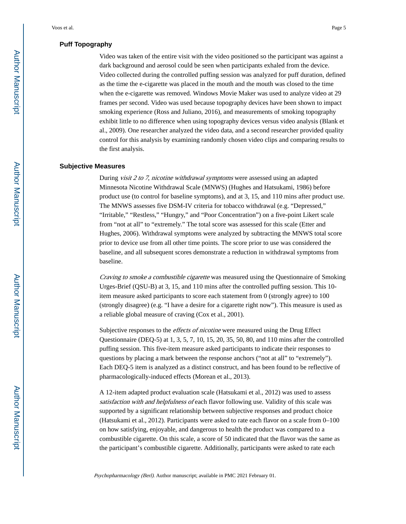#### **Puff Topography**

Video was taken of the entire visit with the video positioned so the participant was against a dark background and aerosol could be seen when participants exhaled from the device. Video collected during the controlled puffing session was analyzed for puff duration, defined as the time the e-cigarette was placed in the mouth and the mouth was closed to the time when the e-cigarette was removed. Windows Movie Maker was used to analyze video at 29 frames per second. Video was used because topography devices have been shown to impact smoking experience (Ross and Juliano, 2016), and measurements of smoking topography exhibit little to no difference when using topography devices versus video analysis (Blank et al., 2009). One researcher analyzed the video data, and a second researcher provided quality control for this analysis by examining randomly chosen video clips and comparing results to the first analysis.

#### **Subjective Measures**

During visit 2 to 7, nicotine withdrawal symptoms were assessed using an adapted Minnesota Nicotine Withdrawal Scale (MNWS) (Hughes and Hatsukami, 1986) before product use (to control for baseline symptoms), and at 3, 15, and 110 mins after product use. The MNWS assesses five DSM-IV criteria for tobacco withdrawal (e.g. "Depressed," "Irritable," "Restless," "Hungry," and "Poor Concentration") on a five-point Likert scale from "not at all" to "extremely." The total score was assessed for this scale (Etter and Hughes, 2006). Withdrawal symptoms were analyzed by subtracting the MNWS total score prior to device use from all other time points. The score prior to use was considered the baseline, and all subsequent scores demonstrate a reduction in withdrawal symptoms from baseline.

Craving to smoke a combustible cigarette was measured using the Questionnaire of Smoking Urges-Brief (QSU-B) at 3, 15, and 110 mins after the controlled puffing session. This 10 item measure asked participants to score each statement from 0 (strongly agree) to 100 (strongly disagree) (e.g. "I have a desire for a cigarette right now"). This measure is used as a reliable global measure of craving (Cox et al., 2001).

Subjective responses to the effects of nicotine were measured using the Drug Effect Questionnaire (DEQ-5) at 1, 3, 5, 7, 10, 15, 20, 35, 50, 80, and 110 mins after the controlled puffing session. This five-item measure asked participants to indicate their responses to questions by placing a mark between the response anchors ("not at all" to "extremely"). Each DEQ-5 item is analyzed as a distinct construct, and has been found to be reflective of pharmacologically-induced effects (Morean et al., 2013).

A 12-item adapted product evaluation scale (Hatsukami et al., 2012) was used to assess satisfaction with and helpfulness of each flavor following use. Validity of this scale was supported by a significant relationship between subjective responses and product choice (Hatsukami et al., 2012). Participants were asked to rate each flavor on a scale from 0–100 on how satisfying, enjoyable, and dangerous to health the product was compared to a combustible cigarette. On this scale, a score of 50 indicated that the flavor was the same as the participant's combustible cigarette. Additionally, participants were asked to rate each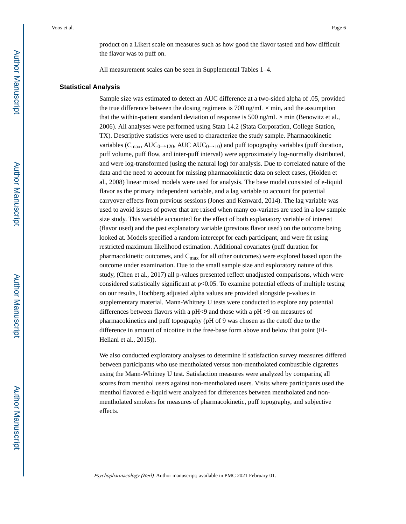product on a Likert scale on measures such as how good the flavor tasted and how difficult the flavor was to puff on.

All measurement scales can be seen in Supplemental Tables 1–4.

#### **Statistical Analysis**

Sample size was estimated to detect an AUC difference at a two-sided alpha of .05, provided the true difference between the dosing regimens is 700 ng/mL  $\times$  min, and the assumption that the within-patient standard deviation of response is 500 ng/mL  $\times$  min (Benowitz et al., 2006). All analyses were performed using Stata 14.2 (Stata Corporation, College Station, TX). Descriptive statistics were used to characterize the study sample. Pharmacokinetic variables ( $C_{\text{max}}$ , AUC<sub>0→120</sub>, AUC AUC<sub>0→10</sub>) and puff topography variables (puff duration, puff volume, puff flow, and inter-puff interval) were approximately log-normally distributed, and were log-transformed (using the natural log) for analysis. Due to correlated nature of the data and the need to account for missing pharmacokinetic data on select cases, (Holden et al., 2008) linear mixed models were used for analysis. The base model consisted of e-liquid flavor as the primary independent variable, and a lag variable to account for potential carryover effects from previous sessions (Jones and Kenward, 2014). The lag variable was used to avoid issues of power that are raised when many co-variates are used in a low sample size study. This variable accounted for the effect of both explanatory variable of interest (flavor used) and the past explanatory variable (previous flavor used) on the outcome being looked at. Models specified a random intercept for each participant, and were fit using restricted maximum likelihood estimation. Additional covariates (puff duration for pharmacokinetic outcomes, and  $C_{max}$  for all other outcomes) were explored based upon the outcome under examination. Due to the small sample size and exploratory nature of this study, (Chen et al., 2017) all p-values presented reflect unadjusted comparisons, which were considered statistically significant at p<0.05. To examine potential effects of multiple testing on our results, Hochberg adjusted alpha values are provided alongside p-values in supplementary material. Mann-Whitney U tests were conducted to explore any potential differences between flavors with a  $pH < 9$  and those with a  $pH > 9$  on measures of pharmacokinetics and puff topography (pH of 9 was chosen as the cutoff due to the difference in amount of nicotine in the free-base form above and below that point (El-Hellani et al., 2015)).

We also conducted exploratory analyses to determine if satisfaction survey measures differed between participants who use mentholated versus non-mentholated combustible cigarettes using the Mann-Whitney U test. Satisfaction measures were analyzed by comparing all scores from menthol users against non-mentholated users. Visits where participants used the menthol flavored e-liquid were analyzed for differences between mentholated and nonmentholated smokers for measures of pharmacokinetic, puff topography, and subjective effects.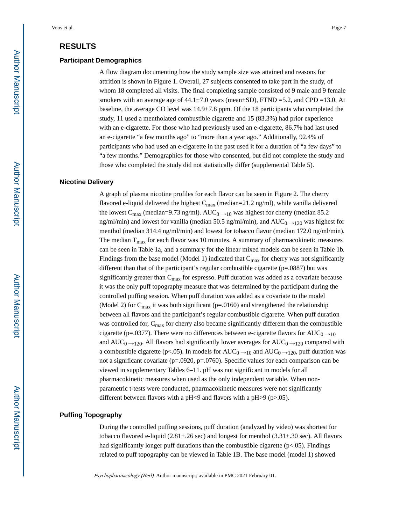# **RESULTS**

#### **Participant Demographics**

A flow diagram documenting how the study sample size was attained and reasons for attrition is shown in Figure 1. Overall, 27 subjects consented to take part in the study, of whom 18 completed all visits. The final completing sample consisted of 9 male and 9 female smokers with an average age of  $44.1\pm7.0$  years (mean $\pm$ SD), FTND =5.2, and CPD =13.0. At baseline, the average CO level was 14.9±7.8 ppm. Of the 18 participants who completed the study, 11 used a mentholated combustible cigarette and 15 (83.3%) had prior experience with an e-cigarette. For those who had previously used an e-cigarette, 86.7% had last used an e-cigarette "a few months ago" to "more than a year ago." Additionally, 92.4% of participants who had used an e-cigarette in the past used it for a duration of "a few days" to "a few months." Demographics for those who consented, but did not complete the study and those who completed the study did not statistically differ (supplemental Table 5).

#### **Nicotine Delivery**

A graph of plasma nicotine profiles for each flavor can be seen in Figure 2. The cherry flavored e-liquid delivered the highest  $C_{max}$  (median=21.2 ng/ml), while vanilla delivered the lowest C<sub>max</sub> (median=9.73 ng/ml). AUC<sub>0</sub>  $\rightarrow$  10 was highest for cherry (median 85.2 ng/ml/min) and lowest for vanilla (median 50.5 ng/ml/min), and  $AUC_{0\rightarrow120}$  was highest for menthol (median 314.4 ng/ml/min) and lowest for tobacco flavor (median 172.0 ng/ml/min). The median  $T_{\text{max}}$  for each flavor was 10 minutes. A summary of pharmacokinetic measures can be seen in Table 1a, and a summary for the linear mixed models can be seen in Table 1b. Findings from the base model (Model 1) indicated that  $C_{\text{max}}$  for cherry was not significantly different than that of the participant's regular combustible cigarette ( $p=.0887$ ) but was significantly greater than  $C_{\text{max}}$  for espresso. Puff duration was added as a covariate because it was the only puff topography measure that was determined by the participant during the controlled puffing session. When puff duration was added as a covariate to the model (Model 2) for  $C_{\text{max}}$  it was both significant (p=.0160) and strengthened the relationship between all flavors and the participant's regular combustible cigarette. When puff duration was controlled for,  $C_{\text{max}}$  for cherry also became significantly different than the combustible cigarette (p=.0377). There were no differences between e-cigarette flavors for  $AUC_0 \rightarrow 10$ and AUC<sub>0</sub>  $\rightarrow$  120. All flavors had significantly lower averages for AUC<sub>0</sub>  $\rightarrow$  120 compared with a combustible cigarette (p<.05). In models for  $AUC_0 \rightarrow_{10}$  and  $AUC_0 \rightarrow_{120}$ , puff duration was not a significant covariate ( $p=0.0920$ ,  $p=0.0760$ ). Specific values for each comparison can be viewed in supplementary Tables 6–11. pH was not significant in models for all pharmacokinetic measures when used as the only independent variable. When nonparametric t-tests were conducted, pharmacokinetic measures were not significantly different between flavors with a  $pH<9$  and flavors with a  $pH>9$  ( $p>0.05$ ).

### **Puffing Topography**

During the controlled puffing sessions, puff duration (analyzed by video) was shortest for tobacco flavored e-liquid (2.81±.26 sec) and longest for menthol (3.31±.30 sec). All flavors had significantly longer puff durations than the combustible cigarette ( $p<0.05$ ). Findings related to puff topography can be viewed in Table 1B. The base model (model 1) showed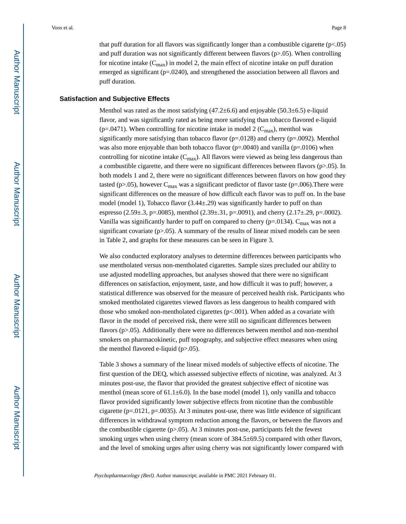that puff duration for all flavors was significantly longer than a combustible cigarette  $(p<0.05)$ and puff duration was not significantly different between flavors  $(p>0.05)$ . When controlling for nicotine intake  $(C_{\text{max}})$  in model 2, the main effect of nicotine intake on puff duration emerged as significant (p=.0240), and strengthened the association between all flavors and puff duration.

#### **Satisfaction and Subjective Effects**

Menthol was rated as the most satisfying  $(47.2\pm6.6)$  and enjoyable  $(50.3\pm6.5)$  e-liquid flavor, and was significantly rated as being more satisfying than tobacco flavored e-liquid (p=.0471). When controlling for nicotine intake in model 2 ( $C_{\text{max}}$ ), menthol was significantly more satisfying than tobacco flavor ( $p=0.0128$ ) and cherry ( $p=0.092$ ). Menthol was also more enjoyable than both tobacco flavor (p=.0040) and vanilla (p=.0106) when controlling for nicotine intake  $(C_{max})$ . All flavors were viewed as being less dangerous than a combustible cigarette, and there were no significant differences between flavors ( $p$  $> 0.05$ ). In both models 1 and 2, there were no significant differences between flavors on how good they tasted (p>.05), however  $C_{\text{max}}$  was a significant predictor of flavor taste (p=.006). There were significant differences on the measure of how difficult each flavor was to puff on. In the base model (model 1), Tobacco flavor (3.44±.29) was significantly harder to puff on than espresso (2.59±.3, p=.0085), menthol (2.39±.31, p=.0091), and cherry (2.17±.29, p=.0002). Vanilla was significantly harder to puff on compared to cherry ( $p=0134$ ). C<sub>max</sub> was not a significant covariate  $(p>0.05)$ . A summary of the results of linear mixed models can be seen in Table 2, and graphs for these measures can be seen in Figure 3.

We also conducted exploratory analyses to determine differences between participants who use mentholated versus non-mentholated cigarettes. Sample sizes precluded our ability to use adjusted modelling approaches, but analyses showed that there were no significant differences on satisfaction, enjoyment, taste, and how difficult it was to puff; however, a statistical difference was observed for the measure of perceived health risk. Participants who smoked mentholated cigarettes viewed flavors as less dangerous to health compared with those who smoked non-mentholated cigarettes  $(p<.001)$ . When added as a covariate with flavor in the model of perceived risk, there were still no significant differences between flavors (p>.05). Additionally there were no differences between menthol and non-menthol smokers on pharmacokinetic, puff topography, and subjective effect measures when using the menthol flavored e-liquid  $(p>0.05)$ .

Table 3 shows a summary of the linear mixed models of subjective effects of nicotine. The first question of the DEQ, which assessed subjective effects of nicotine, was analyzed. At 3 minutes post-use, the flavor that provided the greatest subjective effect of nicotine was menthol (mean score of  $61.1\pm6.0$ ). In the base model (model 1), only vanilla and tobacco flavor provided significantly lower subjective effects from nicotine than the combustible cigarette (p=.0121, p=.0035). At 3 minutes post-use, there was little evidence of significant differences in withdrawal symptom reduction among the flavors, or between the flavors and the combustible cigarette  $(p>0.05)$ . At 3 minutes post-use, participants felt the fewest smoking urges when using cherry (mean score of 384.5±69.5) compared with other flavors, and the level of smoking urges after using cherry was not significantly lower compared with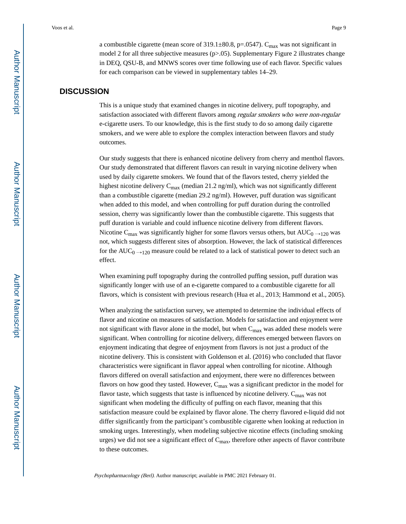a combustible cigarette (mean score of  $319.1\pm80.8$ , p=.0547). C<sub>max</sub> was not significant in model 2 for all three subjective measures (p>.05). Supplementary Figure 2 illustrates change in DEQ, QSU-B, and MNWS scores over time following use of each flavor. Specific values for each comparison can be viewed in supplementary tables 14–29.

## **DISCUSSION**

This is a unique study that examined changes in nicotine delivery, puff topography, and satisfaction associated with different flavors among regular smokers who were non-regular e-cigarette users. To our knowledge, this is the first study to do so among daily cigarette smokers, and we were able to explore the complex interaction between flavors and study outcomes.

Our study suggests that there is enhanced nicotine delivery from cherry and menthol flavors. Our study demonstrated that different flavors can result in varying nicotine delivery when used by daily cigarette smokers. We found that of the flavors tested, cherry yielded the highest nicotine delivery  $C_{\text{max}}$  (median 21.2 ng/ml), which was not significantly different than a combustible cigarette (median 29.2 ng/ml). However, puff duration was significant when added to this model, and when controlling for puff duration during the controlled session, cherry was significantly lower than the combustible cigarette. This suggests that puff duration is variable and could influence nicotine delivery from different flavors. Nicotine C<sub>max</sub> was significantly higher for some flavors versus others, but  $AUC_0 \rightarrow 120$  was not, which suggests different sites of absorption. However, the lack of statistical differences for the  $AUC_0 \rightarrow 120$  measure could be related to a lack of statistical power to detect such an effect.

When examining puff topography during the controlled puffing session, puff duration was significantly longer with use of an e-cigarette compared to a combustible cigarette for all flavors, which is consistent with previous research (Hua et al., 2013; Hammond et al., 2005).

When analyzing the satisfaction survey, we attempted to determine the individual effects of flavor and nicotine on measures of satisfaction. Models for satisfaction and enjoyment were not significant with flavor alone in the model, but when  $C_{\text{max}}$  was added these models were significant. When controlling for nicotine delivery, differences emerged between flavors on enjoyment indicating that degree of enjoyment from flavors is not just a product of the nicotine delivery. This is consistent with Goldenson et al. (2016) who concluded that flavor characteristics were significant in flavor appeal when controlling for nicotine. Although flavors differed on overall satisfaction and enjoyment, there were no differences between flavors on how good they tasted. However,  $C_{max}$  was a significant predictor in the model for flavor taste, which suggests that taste is influenced by nicotine delivery.  $C_{\text{max}}$  was not significant when modeling the difficulty of puffing on each flavor, meaning that this satisfaction measure could be explained by flavor alone. The cherry flavored e-liquid did not differ significantly from the participant's combustible cigarette when looking at reduction in smoking urges. Interestingly, when modeling subjective nicotine effects (including smoking urges) we did not see a significant effect of  $C_{\text{max}}$ , therefore other aspects of flavor contribute to these outcomes.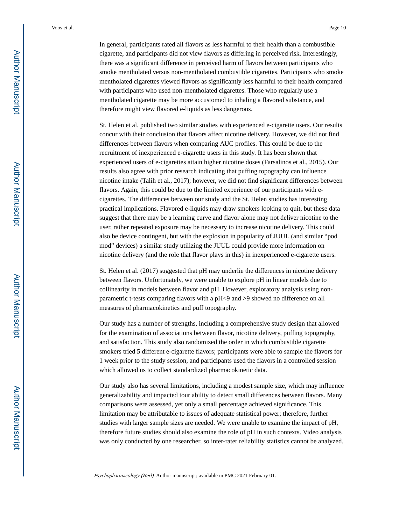In general, participants rated all flavors as less harmful to their health than a combustible cigarette, and participants did not view flavors as differing in perceived risk. Interestingly, there was a significant difference in perceived harm of flavors between participants who smoke mentholated versus non-mentholated combustible cigarettes. Participants who smoke mentholated cigarettes viewed flavors as significantly less harmful to their health compared with participants who used non-mentholated cigarettes. Those who regularly use a mentholated cigarette may be more accustomed to inhaling a flavored substance, and therefore might view flavored e-liquids as less dangerous.

St. Helen et al. published two similar studies with experienced e-cigarette users. Our results concur with their conclusion that flavors affect nicotine delivery. However, we did not find differences between flavors when comparing AUC profiles. This could be due to the recruitment of inexperienced e-cigarette users in this study. It has been shown that experienced users of e-cigarettes attain higher nicotine doses (Farsalinos et al., 2015). Our results also agree with prior research indicating that puffing topography can influence nicotine intake (Talih et al., 2017); however, we did not find significant differences between flavors. Again, this could be due to the limited experience of our participants with ecigarettes. The differences between our study and the St. Helen studies has interesting practical implications. Flavored e-liquids may draw smokers looking to quit, but these data suggest that there may be a learning curve and flavor alone may not deliver nicotine to the user, rather repeated exposure may be necessary to increase nicotine delivery. This could also be device contingent, but with the explosion in popularity of JUUL (and similar "pod mod" devices) a similar study utilizing the JUUL could provide more information on nicotine delivery (and the role that flavor plays in this) in inexperienced e-cigarette users.

St. Helen et al. (2017) suggested that pH may underlie the differences in nicotine delivery between flavors. Unfortunately, we were unable to explore pH in linear models due to collinearity in models between flavor and pH. However, exploratory analysis using nonparametric t-tests comparing flavors with a pH<9 and >9 showed no difference on all measures of pharmacokinetics and puff topography.

Our study has a number of strengths, including a comprehensive study design that allowed for the examination of associations between flavor, nicotine delivery, puffing topography, and satisfaction. This study also randomized the order in which combustible cigarette smokers tried 5 different e-cigarette flavors; participants were able to sample the flavors for 1 week prior to the study session, and participants used the flavors in a controlled session which allowed us to collect standardized pharmacokinetic data.

Our study also has several limitations, including a modest sample size, which may influence generalizability and impacted tour ability to detect small differences between flavors. Many comparisons were assessed, yet only a small percentage achieved significance. This limitation may be attributable to issues of adequate statistical power; therefore, further studies with larger sample sizes are needed. We were unable to examine the impact of pH, therefore future studies should also examine the role of pH in such contexts. Video analysis was only conducted by one researcher, so inter-rater reliability statistics cannot be analyzed.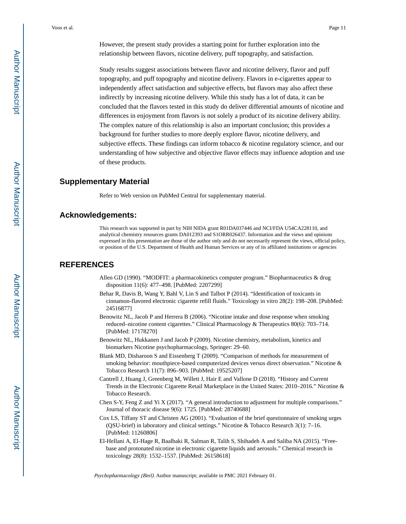However, the present study provides a starting point for further exploration into the relationship between flavors, nicotine delivery, puff topography, and satisfaction.

Study results suggest associations between flavor and nicotine delivery, flavor and puff topography, and puff topography and nicotine delivery. Flavors in e-cigarettes appear to independently affect satisfaction and subjective effects, but flavors may also affect these indirectly by increasing nicotine delivery. While this study has a lot of data, it can be concluded that the flavors tested in this study do deliver differential amounts of nicotine and differences in enjoyment from flavors is not solely a product of its nicotine delivery ability. The complex nature of this relationship is also an important conclusion; this provides a background for further studies to more deeply explore flavor, nicotine delivery, and subjective effects. These findings can inform tobacco & nicotine regulatory science, and our understanding of how subjective and objective flavor effects may influence adoption and use of these products.

## **Supplementary Material**

Refer to Web version on PubMed Central for supplementary material.

### **Acknowledgements:**

This research was supported in part by NIH NIDA grant R01DA037446 and NCI/FDA U54CA228110, and analytical chemistry resources grants DA012393 and S1ORR026437. Information and the views and opinions expressed in this presentation are those of the author only and do not necessarily represent the views, official policy, or position of the U.S. Department of Health and Human Services or any of its affiliated institutions or agencies

## **REFERENCES**

- Allen GD (1990). "MODFIT: a pharmacokinetics computer program." Biopharmaceutics & drug disposition 11(6): 477–498. [PubMed: 2207299]
- Behar R, Davis B, Wang Y, Bahl V, Lin S and Talbot P (2014). "Identification of toxicants in cinnamon-flavored electronic cigarette refill fluids." Toxicology in vitro 28(2): 198–208. [PubMed: 24516877]
- Benowitz NL, Jacob P and Herrera B (2006). "Nicotine intake and dose response when smoking reduced–nicotine content cigarettes." Clinical Pharmacology & Therapeutics 80(6): 703–714. [PubMed: 17178270]
- Benowitz NL, Hukkanen J and Jacob P (2009). Nicotine chemistry, metabolism, kinetics and biomarkers Nicotine psychopharmacology, Springer: 29–60.
- Blank MD, Disharoon S and Eissenberg T (2009). "Comparison of methods for measurement of smoking behavior: mouthpiece-based computerized devices versus direct observation." Nicotine & Tobacco Research 11(7): 896–903. [PubMed: 19525207]
- Cantrell J, Huang J, Greenberg M, Willett J, Hair E and Vallone D (2018). "History and Current Trends in the Electronic Cigarette Retail Marketplace in the United States: 2010–2016." Nicotine & Tobacco Research.
- Chen S-Y, Feng Z and Yi X (2017). "A general introduction to adjustment for multiple comparisons." Journal of thoracic disease 9(6): 1725. [PubMed: 28740688]
- Cox LS, Tiffany ST and Christen AG (2001). "Evaluation of the brief questionnaire of smoking urges (QSU-brief) in laboratory and clinical settings." Nicotine & Tobacco Research 3(1): 7–16. [PubMed: 11260806]
- El-Hellani A, El-Hage R, Baalbaki R, Salman R, Talih S, Shihadeh A and Saliba NA (2015). "Freebase and protonated nicotine in electronic cigarette liquids and aerosols." Chemical research in toxicology 28(8): 1532–1537. [PubMed: 26158618]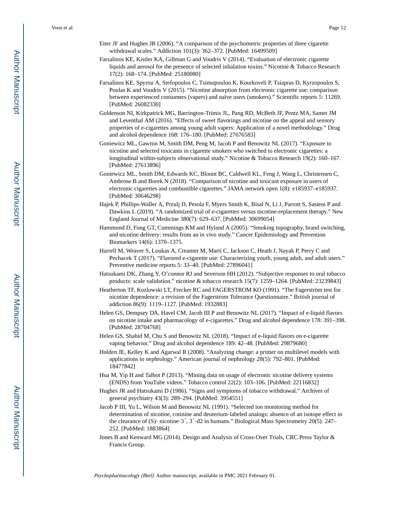- Etter JF and Hughes JR (2006). "A comparison of the psychometric properties of three cigarette withdrawal scales." Addiction 101(3): 362–372. [PubMed: 16499509]
- Farsalinos KE, Kistler KA, Gillman G and Voudris V (2014). "Evaluation of electronic cigarette liquids and aerosol for the presence of selected inhalation toxins." Nicotine & Tobacco Research 17(2): 168–174. [PubMed: 25180080]
- Farsalinos KE, Spyrou A, Stefopoulos C, Tsimopoulou K, Kourkoveli P, Tsiapras D, Kyrzopoulos S, Poulas K and Voudris V (2015). "Nicotine absorption from electronic cigarette use: comparison between experienced consumers (vapers) and naïve users (smokers)." Scientific reports 5: 11269. [PubMed: 26082330]
- Goldenson NI, Kirkpatrick MG, Barrington-Trimis JL, Pang RD, McBeth JF, Pentz MA, Samet JM and Leventhal AM (2016). "Effects of sweet flavorings and nicotine on the appeal and sensory properties of e-cigarettes among young adult vapers: Application of a novel methodology." Drug and alcohol dependence 168: 176–180. [PubMed: 27676583]
- Goniewicz ML, Gawron M, Smith DM, Peng M, Jacob P and Benowitz NL (2017). "Exposure to nicotine and selected toxicants in cigarette smokers who switched to electronic cigarettes: a longitudinal within-subjects observational study." Nicotine & Tobacco Research 19(2): 160–167. [PubMed: 27613896]
- Goniewicz ML, Smith DM, Edwards KC, Blount BC, Caldwell KL, Feng J, Wang L, Christensen C, Ambrose B and Borek N (2018). "Comparison of nicotine and toxicant exposure in users of electronic cigarettes and combustible cigarettes." JAMA network open 1(8): e185937–e185937. [PubMed: 30646298]
- Hajek P, Phillips-Waller A, Przulj D, Pesola F, Myers Smith K, Bisal N, Li J, Parrott S, Sasieni P and Dawkins L (2019). "A randomized trial of e-cigarettes versus nicotine-replacement therapy." New England Journal of Medicine 380(7): 629–637. [PubMed: 30699054]
- Hammond D, Fong GT, Cummings KM and Hyland A (2005). "Smoking topography, brand switching, and nicotine delivery: results from an in vivo study." Cancer Epidemiology and Prevention Biomarkers 14(6): 1370–1375.
- Harrell M, Weaver S, Loukas A, Creamer M, Marti C, Jackson C, Heath J, Nayak P, Perry C and Pechacek T (2017). "Flavored e-cigarette use: Characterizing youth, young adult, and adult users." Preventive medicine reports 5: 33–40. [PubMed: 27896041]
- Hatsukami DK, Zhang Y, O'connor RJ and Severson HH (2012). "Subjective responses to oral tobacco products: scale validation." nicotine & tobacco research 15(7): 1259–1264. [PubMed: 23239843]
- Heatherton TF, Kozlowski LT, Frecker RC and FAGERSTROM KO (1991). "The Fagerström test for nicotine dependence: a revision of the Fagerstrom Tolerance Questionnaire." British journal of addiction 86(9): 1119–1127. [PubMed: 1932883]
- Helen GS, Dempsey DA, Havel CM, Jacob III P and Benowitz NL (2017). "Impact of e-liquid flavors on nicotine intake and pharmacology of e-cigarettes." Drug and alcohol dependence 178: 391–398. [PubMed: 28704768]
- Helen GS, Shahid M, Chu S and Benowitz NL (2018). "Impact of e-liquid flavors on e-cigarette vaping behavior." Drug and alcohol dependence 189: 42–48. [PubMed: 29879680]
- Holden JE, Kelley K and Agarwal R (2008). "Analyzing change: a primer on multilevel models with applications to nephrology." American journal of nephrology 28(5): 792–801. [PubMed: 18477842]
- Hua M, Yip H and Talbot P (2013). "Mining data on usage of electronic nicotine delivery systems (ENDS) from YouTube videos." Tobacco control 22(2): 103–106. [PubMed: 22116832]
- Hughes JR and Hatsukami D (1986). "Signs and symptoms of tobacco withdrawal." Archives of general psychiatry 43(3): 289–294. [PubMed: 3954551]
- Jacob P III, Yu L, Wilson M and Benowitz NL (1991). "Selected ion monitoring method for determination of nicotine, cotinine and deuterium‐labeled analogs: absence of an isotope effect in the clearance of (S)- nicotine-3', 3'-d2 in humans." Biological Mass Spectrometry 20(5): 247– 252. [PubMed: 1883864]
- Jones B and Kenward MG (2014). Design and Analysis of Cross-Over Trials, CRC Press Taylor & Francis Group.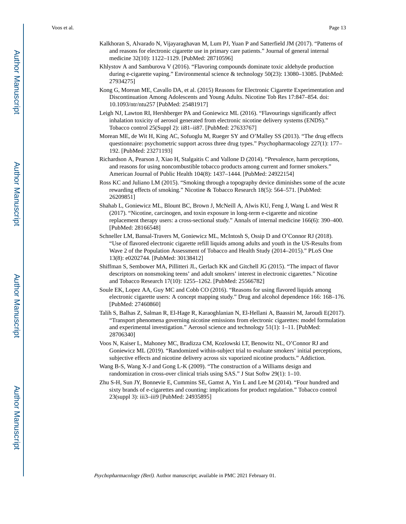- Kalkhoran S, Alvarado N, Vijayaraghavan M, Lum PJ, Yuan P and Satterfield JM (2017). "Patterns of and reasons for electronic cigarette use in primary care patients." Journal of general internal medicine 32(10): 1122–1129. [PubMed: 28710596]
- Khlystov A and Samburova V (2016). "Flavoring compounds dominate toxic aldehyde production during e-cigarette vaping." Environmental science & technology 50(23): 13080-13085. [PubMed: 27934275]
- Kong G, Morean ME, Cavallo DA, et al. (2015) Reasons for Electronic Cigarette Experimentation and Discontinuation Among Adolescents and Young Adults. Nicotine Tob Res 17:847–854. doi: 10.1093/ntr/ntu257 [PubMed: 25481917]
- Leigh NJ, Lawton RI, Hershberger PA and Goniewicz ML (2016). "Flavourings significantly affect inhalation toxicity of aerosol generated from electronic nicotine delivery systems (ENDS)." Tobacco control 25(Suppl 2): ii81–ii87. [PubMed: 27633767]
- Morean ME, de Wit H, King AC, Sofuoglu M, Rueger SY and O'Malley SS (2013). "The drug effects questionnaire: psychometric support across three drug types." Psychopharmacology 227(1): 177– 192. [PubMed: 23271193]
- Richardson A, Pearson J, Xiao H, Stalgaitis C and Vallone D (2014). "Prevalence, harm perceptions, and reasons for using noncombustible tobacco products among current and former smokers." American Journal of Public Health 104(8): 1437–1444. [PubMed: 24922154]
- Ross KC and Juliano LM (2015). "Smoking through a topography device diminishes some of the acute rewarding effects of smoking." Nicotine & Tobacco Research 18(5): 564–571. [PubMed: 26209851]
- Shahab L, Goniewicz ML, Blount BC, Brown J, McNeill A, Alwis KU, Feng J, Wang L and West R (2017). "Nicotine, carcinogen, and toxin exposure in long-term e-cigarette and nicotine replacement therapy users: a cross-sectional study." Annals of internal medicine 166(6): 390–400. [PubMed: 28166548]
- Schneller LM, Bansal-Travers M, Goniewicz ML, McIntosh S, Ossip D and O'Connor RJ (2018). "Use of flavored electronic cigarette refill liquids among adults and youth in the US-Results from Wave 2 of the Population Assessment of Tobacco and Health Study (2014–2015)." PLoS One 13(8): e0202744. [PubMed: 30138412]
- Shiffman S, Sembower MA, Pillitteri JL, Gerlach KK and Gitchell JG (2015). "The impact of flavor descriptors on nonsmoking teens' and adult smokers' interest in electronic cigarettes." Nicotine and Tobacco Research 17(10): 1255–1262. [PubMed: 25566782]
- Soule EK, Lopez AA, Guy MC and Cobb CO (2016). "Reasons for using flavored liquids among electronic cigarette users: A concept mapping study." Drug and alcohol dependence 166: 168–176. [PubMed: 27460860]
- Talih S, Balhas Z, Salman R, El-Hage R, Karaoghlanian N, El-Hellani A, Baassiri M, Jaroudi E(2017). "Transport phenomena governing nicotine emissions from electronic cigarettes: model formulation and experimental investigation." Aerosol science and technology 51(1): 1–11. [PubMed: 28706340]
- Voos N, Kaiser L, Mahoney MC, Bradizza CM, Kozlowski LT, Benowitz NL, O'Connor RJ and Goniewicz ML (2019). "Randomized within-subject trial to evaluate smokers' initial perceptions, subjective effects and nicotine delivery across six vaporized nicotine products." Addiction.
- Wang B-S, Wang X-J and Gong L-K (2009). "The construction of a Williams design and randomization in cross-over clinical trials using SAS." J Stat Softw 29(1): 1–10.
- Zhu S-H, Sun JY, Bonnevie E, Cummins SE, Gamst A, Yin L and Lee M (2014). "Four hundred and sixty brands of e-cigarettes and counting: implications for product regulation." Tobacco control 23(suppl 3): iii3–iii9 [PubMed: 24935895]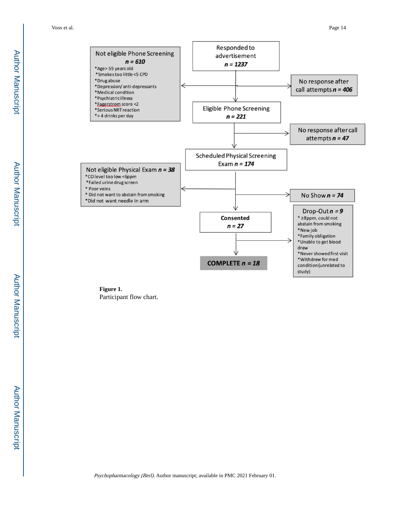

**Figure 1.**  Participant flow chart.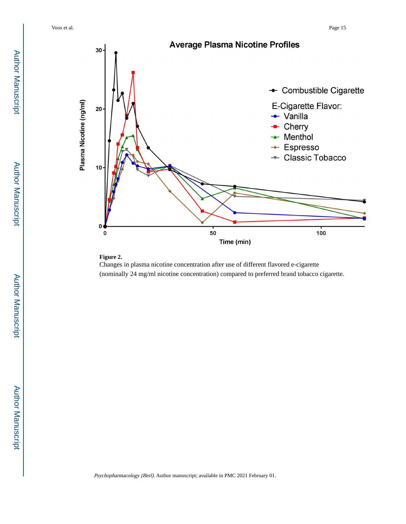Voos et al. Page 15





Changes in plasma nicotine concentration after use of different flavored e-cigarette (nominally 24 mg/ml nicotine concentration) compared to preferred brand tobacco cigarette.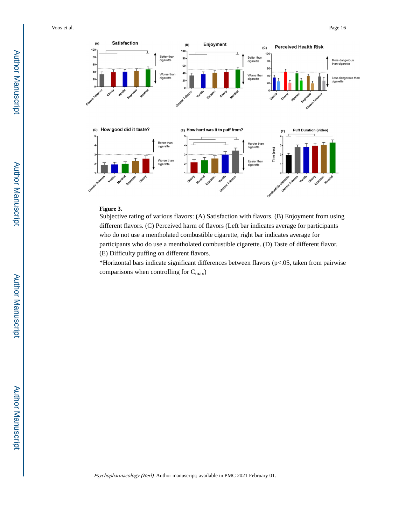

#### **Figure 3.**

Subjective rating of various flavors: (A) Satisfaction with flavors. (B) Enjoyment from using different flavors. (C) Perceived harm of flavors (Left bar indicates average for participants who do not use a mentholated combustible cigarette, right bar indicates average for participants who do use a mentholated combustible cigarette. (D) Taste of different flavor. (E) Difficulty puffing on different flavors.

\*Horizontal bars indicate significant differences between flavors (p<.05, taken from pairwise comparisons when controlling for  $C_{\text{max}}$ )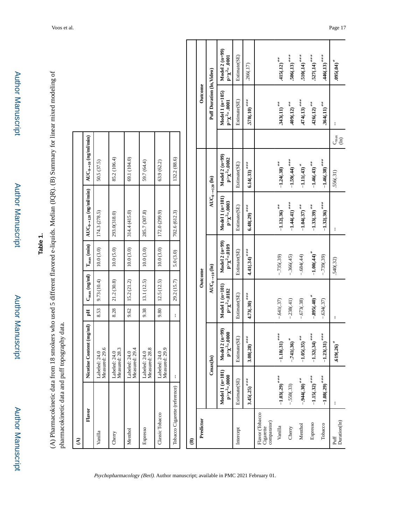Author Manuscript

Author Manuscript

# **Table 1.**

(A) Pharmacokinetic data from 18 smokers who used 5 different flavored e-liquids. Median (IQR). (B) Summary for linear mixed modeling of (A) Pharmacokinetic data from 18 smokers who used 5 different flavored e-liquids. Median (IQR). (B) Summary for linear mixed modeling of pharmacokinetic data and puff topography data. pharmacokinetic data and puff topography data.

| $\widehat{A}$                               |                                    |               |                                          |                            |                                    |                                     |                                          |                                    |                                                  |                                             |                                         |
|---------------------------------------------|------------------------------------|---------------|------------------------------------------|----------------------------|------------------------------------|-------------------------------------|------------------------------------------|------------------------------------|--------------------------------------------------|---------------------------------------------|-----------------------------------------|
| Flavor                                      |                                    |               | Nicotine Content (mg/ml)                 | $\mathbf{H}$               | $C_{\rm max}$ (ng/ml)              | $\rm T_{max}$ (min)                 | $AUC_{0\rightarrow120}$ (ng/ml/min)      | $AUC_{0\rightarrow10}$ (ng/ml/min) |                                                  |                                             |                                         |
| Vanilla                                     |                                    |               | Labeled: 24.0<br>Measured: 29.6          | 8.53                       | 9.73 (10.4)                        | 10.0(3.0)                           | 174.3 (278.5)                            | 50.5 (37.5)                        |                                                  |                                             |                                         |
| Cherry                                      |                                    | Labeled: 24.0 | Measured: 28.3                           | 8.28                       | 21.2 (30.8)                        | 10.0(5.0)                           | 293.0(318.0)                             | 85.2 (106.4)                       |                                                  |                                             |                                         |
| Menthol                                     |                                    | Labeled: 24.0 | Measured: 29.4                           | 9.62                       | 15.2(21.2)                         | 10.0(3.0)                           | 314.4 (415.0)                            | 69.1 (104.0)                       |                                                  |                                             |                                         |
| Espresso                                    |                                    | Labeled: 24.0 | Measured: 28.8                           | 9.38                       | 13.1 (12.5)                        | 10.0(3.0)                           | 285.7 (307.8)                            | 59.7 (64.4)                        |                                                  |                                             |                                         |
| Classic Tobacco                             |                                    |               | Labeled: 24.0<br>Measured: 29.9          | 9.80                       | 12.5(12.5)                         | 10.0(3.0)                           | 172.0 (299.9)                            | 63.9 (62.2)                        |                                                  |                                             |                                         |
| Tobacco Cigarette (reference)               |                                    | ł             |                                          | $\mathord{\mathsf{I}}$     | 29.2 (15.7)                        | 5.0(3.0)                            | 702.6 (612.3)                            | 132.2 (88.6)                       |                                                  |                                             |                                         |
| $\widehat{\mathbf{e}}$                      |                                    |               |                                          |                            |                                    |                                     |                                          |                                    |                                                  |                                             |                                         |
| Predictor                                   |                                    |               |                                          |                            | Outcome                            |                                     |                                          |                                    |                                                  | Outcome                                     |                                         |
|                                             |                                    | Cmax(ln)      |                                          |                            | $AUC_0 \rightarrow_{10} (ln)$      |                                     | $AUC_0 \rightarrow 120$ (ln)             |                                    |                                                  | Puff Duration (ln, Video)                   |                                         |
|                                             | $Model 1 (n=101)$<br>$px^2 = 0000$ |               | $2(n=99)$<br>$px^2=0000$<br><b>Model</b> |                            | $Model 1 (n=101)$<br>$px^2 = 0182$ | Model $2$ ( $n=99$ )<br>$px^2=0109$ | $Model 1 (n=101)$<br>$p > \chi^2 = 0003$ | Model $2(n=99)$<br>$p>\chi^2=0002$ |                                                  | Model $1$ ( $n=105$ )<br>$10001 = \chi < 1$ | Model $2(n=99)$<br>$p > \chi^2 = .0001$ |
| Intercept                                   | Estimate(SE)                       |               | Estimate(SE)                             | Estimate(SE)               |                                    | Estimate(SE)                        | Estimate(SE)                             | Estimate(SE)                       |                                                  | Estimate(SE)                                | Estimate(SE)                            |
|                                             | $3.45(.25)$ ***                    |               | ***<br>3.08(.28)                         | $4.73(.30)$ <sup>***</sup> |                                    | $4.41(.34)$ <sup>***</sup>          | $6.48(.29)$ <sup>***</sup>               | $6.14(.33)$ <sup>***</sup>         |                                                  | $.578(.10)$ ***                             | .266(.17)                               |
| Flavor (Tobacco<br>comparator)<br>Cigarette |                                    |               |                                          |                            |                                    |                                     |                                          |                                    |                                                  |                                             |                                         |
| Vanilla                                     | $-1.03(.29)$ <sup>***</sup>        |               | $-1.18(.31)$ <sup>***</sup>              | $-.641(.37)$               |                                    | $-.735(.39)$                        | $-1.12(.36)$ <sup>**</sup>               | $-1.24(.38)$ <sup>**</sup>         |                                                  | $.343(.11)^{***}$                           | $.415(.12)^{***}$                       |
| Cherry                                      | $-.558(.33)$                       |               | $-.741(.36)$ <sup>*</sup>                | $-.238(.41)$               |                                    | $-.366(.45)$                        | $-1.44(41)$ <sup>***</sup>               | $-1.59(.44)$ <sup>***</sup>        |                                                  | $.409(.12)^{***}$                           | $.506(.13)$ ***                         |
| Menthol                                     | $-944(.30)$ <sup>**</sup>          |               | $-1.05(.35)$ <sup>**</sup>               | $-.673(.38)$               |                                    | $-.684(.44)$                        | $-1.04(.37)$ <sup>**</sup>               | $-1.11(43)$ <sup>*</sup>           |                                                  | $.474(.13)$ <sup>***</sup>                  | $.510(.14)^{***}$                       |
| Espresso                                    | $-1.15(.32)$ <sup>***</sup>        |               | $-1.32(.34)$ <sup>***</sup>              | $-.895(.40)$ <sup>*</sup>  |                                    | $-1.00(.44)$ $*$                    | $-1.33(.39)$ <sup>**</sup>               | $-1.46(.43)$ <sup>**</sup>         |                                                  | $.426(.12)$ <sup>**</sup>                   | $.527(.14)^{***}$                       |
| Tobacco                                     | $-1.08(.29)$ <sup>***</sup>        |               | $-1.23(.31)$ <sup>***</sup>              | $-.634(.37)$               |                                    | $-.739(.39)$                        | $-1.32(.36)$ <sup>***</sup>              | $-1.46(.38)$ <sup>***</sup>        |                                                  | $.364(.11)^{***}$                           | $.446(.13)$ <sup>***</sup>              |
| Duration(ln)<br>Put                         | ł                                  |               | $*$<br>.619(.26)                         | ł                          |                                    | .540(.32)                           | ł                                        | .556(.31)                          | $\mathop{\mathrm{C}_\mathrm{max}}_\mathrm{(1n)}$ | ł                                           | $.095(.04)$ <sup>*</sup>                |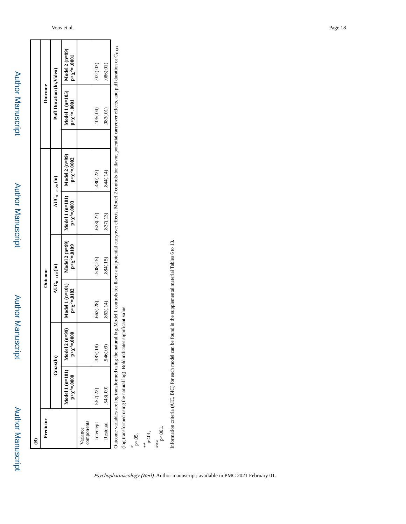| þ. |
|----|
|    |
|    |
|    |
|    |
| l  |
|    |
|    |
|    |
|    |
|    |
|    |
|    |
|    |
|    |
| ı  |
|    |
|    |
|    |
|    |
|    |
|    |
|    |
|    |
|    |
|    |
|    |
|    |
|    |
|    |
|    |
| ٠  |
|    |
|    |
|    |

Author Manuscript

Author Manuscript

|   |           |                               |                                                                         |                        | 072(.03)  | 086(.01)  |
|---|-----------|-------------------------------|-------------------------------------------------------------------------|------------------------|-----------|-----------|
|   | Outcome   | Puff Duration (In, Video)     |                                                                         |                        | 105(.04)  | 083(01)   |
|   |           |                               |                                                                         |                        |           |           |
|   |           |                               |                                                                         |                        | 480(.22)  | 844(.14)  |
|   |           | $AUC_0 \rightarrow 120$ (ln)  | Model 1 (n=101) Model 2 (n=99)<br>p> $\chi^2$ =.0003 p> $\chi^2$ =.0002 |                        | 623(.27)  | 837(.13)  |
|   | Outcome   |                               | Model 1 (n=101) Model 2 (n=99)<br>p> $\chi^2$ =.0182 P> $\chi^2$ =.0109 |                        | 508(.25)  | 884(.15)  |
|   |           | $AUC_0 \rightarrow_{10} (ln)$ |                                                                         |                        | 662(.28)  | 862(.14)  |
|   |           |                               | Model 1 (n=101) Model 2 (n=99)<br>p> $\chi^2$ =.0000 P> $\chi^3$ =.0000 |                        | 387(.18)  | .546(.09) |
|   |           | Cmax(ln)                      |                                                                         |                        | 557(.22)  | 543(.09)  |
| € | Predictor |                               |                                                                         | components<br>Variance | Intercept | Residual  |

Outcome variables are log transformed using the natural log. Model 1 controls for flavor server effects. Model 2 controls for flavor, potential carryover effects, and puff duration or Cmax Outcome variables are log transformed using the natural log. Model 1 controls for flavor and potential carryover effects. Model 2 controls for flavor, potential carryover effects, and puff duration or Cmax (log transformed using the natural log). Bold indicates significant value. (log transformed using the natural log). Bold indicates significant value.

\*p<.05,

 $*$  p<.01,

\*\*\* p<.001. Information criteria (AIC, BIC) for each model can be found in the supplemental material Tables 6 to 13. Information criteria (AIC, BIC) for each model can be found in the supplemental material Tables 6 to 13.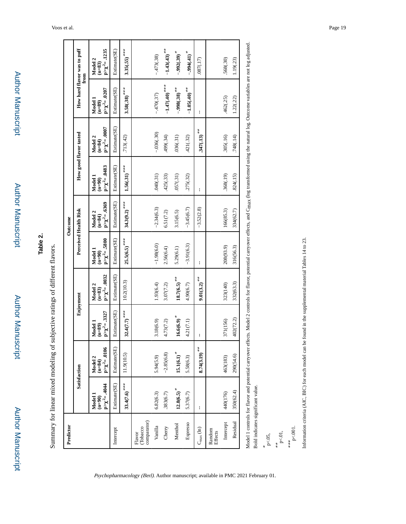| ì |
|---|
| i |
| í |
|   |
|   |
|   |
| ٦ |
|   |
|   |
|   |
|   |
|   |
|   |
|   |
|   |
| ٠ |

# **Table 2.**

Summary for linear mixed modeling of subjective ratings of different flavors. Summary for linear mixed modeling of subjective ratings of different flavors.

| Predictor                        |                                       |                                       |                                       |                                       |                                       | Outcome                                 |                                                                                                                                                                                                                              |                                                           |                                                           |                                       |
|----------------------------------|---------------------------------------|---------------------------------------|---------------------------------------|---------------------------------------|---------------------------------------|-----------------------------------------|------------------------------------------------------------------------------------------------------------------------------------------------------------------------------------------------------------------------------|-----------------------------------------------------------|-----------------------------------------------------------|---------------------------------------|
|                                  |                                       | Satisfaction                          | Enjoyment                             |                                       |                                       | <b>Perceived Health Risk</b>            |                                                                                                                                                                                                                              | How good flavor tasted                                    | How hard flavor was to puff<br>from                       |                                       |
|                                  | $px^2 = .4044$<br>Model 1<br>$(n=90)$ | $px^2 = .0106$<br>Model 2<br>$(n=84)$ | $px^2 = .3327$<br>Model 1<br>$(n=89)$ | $px^2 = .0032$<br>Model 2<br>$(n=83)$ | $px^2 = .5800$<br>Model 1<br>$(m=90)$ | $px^2 = .6369$<br>Model 2<br>$(n = 84)$ | $px^2 = .0483$<br>Model 1<br>$(n=90)$                                                                                                                                                                                        | $\mathrm{P} \times \chi^2 = .0007$<br>Model 2<br>$(n=84)$ | $\mathrm{P} \times \chi^2 = .0207$<br>Model 1<br>$(n=89)$ | $px^2 = .1235$<br>Model 2<br>$(n=83)$ |
| Intercept                        | Estimate(SE)                          | Estimate(SE)                          | Estimate(SE)                          | Estimate(SE)                          | Estimate(SE)                          | Estimate(SE)                            | Estimate(SE)                                                                                                                                                                                                                 | Estimate(SE)                                              | Estimate(SE)                                              | Estimate(SE)                          |
|                                  | $33.4(7.6)$ <sup>***</sup>            | 11.9(10.5)                            | $32.4(7.7)$ <sup>***</sup>            | 10.2(10.3)                            | $25.5(6.5)$ <sup>***</sup>            | $34.3(9.2)$ <sup>***</sup>              | $1.56(.31)$ <sup>***</sup>                                                                                                                                                                                                   | .713(.42)                                                 | $3.58(.38)$ <sup>***</sup>                                | $3.35(.55)$ <sup>***</sup>            |
| comparator)<br>Tobacco<br>Flavor |                                       |                                       |                                       |                                       |                                       |                                         |                                                                                                                                                                                                                              |                                                           |                                                           |                                       |
| Vanilla                          | 6.82(6.3)                             | 5.94(5.9)                             | 3.18(6.9)                             | 1.93(6.4)                             | $-1.98(6.0)$                          | $-2.34(6.3)$                            | .040(.31)                                                                                                                                                                                                                    | $-.036(.30)$                                              | $-.470(.37)$                                              | $-.473(.38)$                          |
| Cherry                           | 383(6.7)                              | $-2.85(6.8)$                          | 4.73(7.2)                             | 3.07(7.2)                             | 2.56(6.4)                             | 6.51(7.2)                               | 425(.33)                                                                                                                                                                                                                     | 499(.34)                                                  | $-1.47(.40)$ <sup>***</sup>                               | $-1.43(.43)$ <sup>**</sup>            |
| Menthol                          | $12.8(6.5)$ <sup>*</sup>              | $15.1(6.1)$ <sup>*</sup>              | $16.6(6.9)$ <sup>*</sup>              | $18.7(6.5)$ <sup>**</sup>             | 5.29(6.1)                             | 3.15(6.5)                               | .057(.31)                                                                                                                                                                                                                    | .036(.31)                                                 | $-0.98(0.38)$ <sup>**</sup>                               | $-0.92(.39)$ <sup>*</sup>             |
| <b>Espresso</b>                  | 5.37(6.7)                             | 5.58(6.3)                             | 4.21(7.1)                             | 4.90(6.7)                             | $-3.91(6.3)$                          | $-3.45(6.7)$                            | 275(.32)                                                                                                                                                                                                                     | 421(.32)                                                  | $-1.05(.40)$ <sup>**</sup>                                | $-0.94(0.41)$                         |
| $C_{\rm max}$ (ln)               | ł                                     | $8.74(3.19)$ <sup>**</sup>            |                                       | $9.01(3.2)$ <sup>**</sup>             | ł                                     | $-3.52(2.8)$                            | ŧ                                                                                                                                                                                                                            | $.347(.13)$ <sup>**</sup>                                 | ŧ                                                         | 087(.17)                              |
| Random<br>Effects                |                                       |                                       |                                       |                                       |                                       |                                         |                                                                                                                                                                                                                              |                                                           |                                                           |                                       |
| Intercept                        | 440(176)                              | 463(183)                              | 371(156)                              | 323(140)                              | 208(93.9)                             | 166(85.3)                               | .368(.19)                                                                                                                                                                                                                    | .305(.16)                                                 | .462(.25)                                                 | 568(.30)                              |
| Residual                         | 350(62.4)                             | 290(54.6)                             | 402(72.2)                             | 332(63.3)                             | 316(56.3)                             | 334(62.7)                               | 824(.15)                                                                                                                                                                                                                     | 748(.14)                                                  | 1.22(.22)                                                 | 1.19(0.23)                            |
|                                  |                                       |                                       |                                       |                                       |                                       |                                         | Model 1 controls for flavor and potential carryover effects. Model 2 controls for flavor, potential carryover effects, and C <sub>rnax</sub> (log transformed using the natural log. Outcome variables are not log adjusted. |                                                           |                                                           |                                       |

Bold indicates significant value. Bold indicates significant value.

\*<br>p<.05,

 $_{\rm p<.01,}^{\ast\ast}$ 

\*\*\* p<.001. Information criteria (AIC, BIC) for each model can be found in the supplemental material Tables 14 to 23. Information criteria (AIC, BIC) for each model can be found in the supplemental material Tables 14 to 23.

г